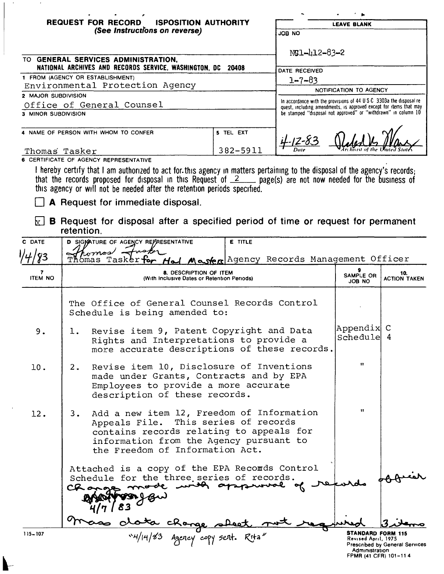| <b>REQUEST FOR RECORD</b><br><b>ISPOSITION AUTHORITY</b><br>(See Instructions on reverse)                                                                                                                                                                                                                                     |                       | <b>LEAVE BLANK</b>                                                                                                                       |  |
|-------------------------------------------------------------------------------------------------------------------------------------------------------------------------------------------------------------------------------------------------------------------------------------------------------------------------------|-----------------------|------------------------------------------------------------------------------------------------------------------------------------------|--|
|                                                                                                                                                                                                                                                                                                                               |                       | ON BOL                                                                                                                                   |  |
| TO GENERAL SERVICES ADMINISTRATION,<br>NATIONAL ARCHIVES AND RECORDS SERVICE, WASHINGTON, DC 20408                                                                                                                                                                                                                            |                       | NC1-412-83-2<br>DATE RECEIVED                                                                                                            |  |
| 1 FROM (AGENCY OR ESTABLISHMENT)                                                                                                                                                                                                                                                                                              |                       | $1 - 7 - 83$                                                                                                                             |  |
| Environmental Protection Agency                                                                                                                                                                                                                                                                                               |                       |                                                                                                                                          |  |
| 2 MAJOR SUBDIVISION                                                                                                                                                                                                                                                                                                           |                       | NOTIFICATION TO AGENCY                                                                                                                   |  |
| Office of General Counsel                                                                                                                                                                                                                                                                                                     |                       | In accordance with the provisions of 44 USC 3303a the disposal re-<br>quest, including amendments, is approved except for items that may |  |
| 3 MINOR SUBDIVISION                                                                                                                                                                                                                                                                                                           |                       | be stamped "disposal not approved" or "withdrawn" in column 10                                                                           |  |
| 4 NAME OF PERSON WITH WHOM TO CONFER<br>Thomas Tasker                                                                                                                                                                                                                                                                         | 5 TEL EXT<br>382-5911 |                                                                                                                                          |  |
| 6 CERTIFICATE OF AGENCY REPRESENTATIVE                                                                                                                                                                                                                                                                                        |                       |                                                                                                                                          |  |
| I hereby certify that I am authorized to act for this agency in matters pertaining to the disposal of the agency's records;<br>that the records proposed for disposal in this Request of $2 \dots$ page(s) are not now needed for the business of<br>this agency or will not be needed after the retention periods specified. |                       |                                                                                                                                          |  |
| <b>A</b> Request for immediate disposal.                                                                                                                                                                                                                                                                                      |                       |                                                                                                                                          |  |
| <b>B</b> Request for disposal after a specified period of time or request for permanent<br>retention.                                                                                                                                                                                                                         |                       |                                                                                                                                          |  |

 $\sim$ 

 $\overline{1}$ 

 $\blacktriangleright$ 

 $\sim 100$ 

|                     | reterition.                                                                                                                                                                                                       |                                                                                            |                                |
|---------------------|-------------------------------------------------------------------------------------------------------------------------------------------------------------------------------------------------------------------|--------------------------------------------------------------------------------------------|--------------------------------|
| C DATE              | D SIGNATURE OF AGENCY REPRESENTATIVE<br><b>E</b> TITLE                                                                                                                                                            |                                                                                            |                                |
|                     | romas/.<br>Master Agency Records Management Officer<br>ómas Tasker                                                                                                                                                |                                                                                            |                                |
| 7<br><b>ITEM NO</b> | 8. DESCRIPTION OF ITEM<br>(With Inclusive Dates or Retention Periods)                                                                                                                                             |                                                                                            | 10.<br><b>ACTION TAKEN</b>     |
|                     | The Office of General Counsel Records Control<br>Schedule is being amended to:                                                                                                                                    |                                                                                            |                                |
| 9.                  | Revise item 9, Patent Copyright and Data<br>$\mathbf{1}$ .<br>Rights and Interpretations to provide a<br>more accurate descriptions of these records.                                                             | Appendix C<br>Schedule 4                                                                   |                                |
| 10.                 | Revise item 10, Disclosure of Inventions<br>2.<br>made under Grants, Contracts and by EPA<br>Employees to provide a more accurate<br>description of these records.                                                | $\mathbf{H}$                                                                               |                                |
| 12.                 | Add a new item 12, Freedom of Information<br>3.<br>Appeals File. This series of records<br>contains records relating to appeals for<br>information from the Agency pursuant to<br>the Freedom of Information Act. | 11                                                                                         |                                |
|                     | Attached is a copy of the EPA Recomds Control<br>Schedule for the three series of records.<br>Changes mode with approved of                                                                                       |                                                                                            |                                |
| $115 - 107$         | Lota change sheet n<br>"4/14/83 Agercy copy sert. Rita"                                                                                                                                                           | <b>STANDARD FORM 115</b><br>Revised April, 1975<br>Administration<br>FPMR (41 CFR) 101-114 | Prescribed by General Services |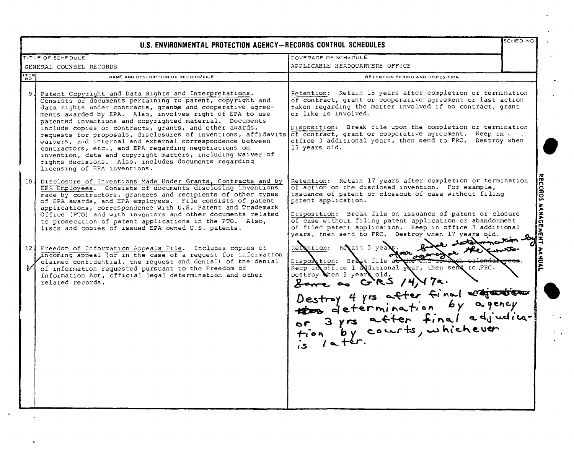|                          | U.S. ENVIRONMENTAL PROTECTION AGENCY-RECORDS CONTROL SCHEDULES                                                                                                                                                                                                                                                                                                                                                                                                                                                                                                                                                                                                                                                                                                                                                                                |                                                                                                                                                                                                                                                                                                                                                                                                                                                                                                                                                                                                                                                                                                                                                                                                         | SCHED NO                        |
|--------------------------|-----------------------------------------------------------------------------------------------------------------------------------------------------------------------------------------------------------------------------------------------------------------------------------------------------------------------------------------------------------------------------------------------------------------------------------------------------------------------------------------------------------------------------------------------------------------------------------------------------------------------------------------------------------------------------------------------------------------------------------------------------------------------------------------------------------------------------------------------|---------------------------------------------------------------------------------------------------------------------------------------------------------------------------------------------------------------------------------------------------------------------------------------------------------------------------------------------------------------------------------------------------------------------------------------------------------------------------------------------------------------------------------------------------------------------------------------------------------------------------------------------------------------------------------------------------------------------------------------------------------------------------------------------------------|---------------------------------|
|                          | TITLE OF SCHEDULE                                                                                                                                                                                                                                                                                                                                                                                                                                                                                                                                                                                                                                                                                                                                                                                                                             | COVERAGE OF SCHEDULE                                                                                                                                                                                                                                                                                                                                                                                                                                                                                                                                                                                                                                                                                                                                                                                    |                                 |
| GENERAL COUNSEL RECORDS  |                                                                                                                                                                                                                                                                                                                                                                                                                                                                                                                                                                                                                                                                                                                                                                                                                                               | APPLICABLE HEADQUARTERS OFFICE                                                                                                                                                                                                                                                                                                                                                                                                                                                                                                                                                                                                                                                                                                                                                                          |                                 |
| <b>ITEM</b><br><b>NO</b> | NAME AND DESCRIPTION OF RECORD/FILE                                                                                                                                                                                                                                                                                                                                                                                                                                                                                                                                                                                                                                                                                                                                                                                                           | RETENTION PERIOD AND DISPOSITION                                                                                                                                                                                                                                                                                                                                                                                                                                                                                                                                                                                                                                                                                                                                                                        |                                 |
| -94                      | Patent Copyright and Data Rights and Interpretations.<br>Consists of documents pertaining to patent, copyright and<br>data rights under contracts, grants and cooperative agree-<br>ments awarded by EPA. Also, involves right of EPA to use<br>patented inventions and copyrighted material. Documents<br>include copies of contracts, grants, and other awards,<br>requests for proposals, disclosures of inventions, affidavits of contract, grant or cooperative agreement. Keep in<br>waivers, and internal and external correspondence between<br>contractors, etc., and EPA regarding negotiations on<br>invention, data and copyright matters, including waiver of<br>rights decisions. Also, includes documents regarding<br>licensing of EPA inventions.                                                                            | Retention: Retain 15 years after completion or termination<br>of contract, grant or cooperative agreement or last action<br>taken regarding the matter involved if no contract, grant<br>or like is involved.<br>Disposition: Break file upon the completion or termination<br>office 3 additional years, then send to FRC. Destroy when<br>15 years old.                                                                                                                                                                                                                                                                                                                                                                                                                                               |                                 |
| $\boldsymbol{\nu}$       | 10. Disclosure of Inventions Made Under Grants, Contracts and by<br>EPA Employees. Consists of documents disclosing inventions<br>made by contractors, grantees and recipients of other types<br>of EPA awards, and EPA employees. File consists of patent<br>applications, correspondence with U.S. Patent and Trademark<br>Office (PTO) and with inventors and other documents related<br>to prosecution of patent applications in the PTO. Also,<br>lists and copies of issued EPA owned U.S. patents.<br>12. Freedom of Information Appeals File. Includes copies of<br>incoming appeal (or in the case of a request for information<br>claimed confidential, the request and denial) of the denial<br>of information requested pursuant to the Freedom of<br>Information Act, official legal determination and other<br>related records. | Retention: Retain 17 years after completion or termination<br>of action on the disclosed invention. For example,<br>issuance of patent or closeout of case without filing<br>patent application.<br>Disposition: Break file on issuance of patent or closure<br>of case without filing patent application or abandonment<br>of filed patent application. Keep in office 3 additional<br>years, then send to FRC. Destroy when 17 years old.<br>testarmouten<br>Retention: Retain 5 years.<br>of an ogenes<br>Disposition: Break file at<br>Keep in office 1 additional year, then send to FRC.<br>Destroy then 5 years old.<br>Lave as GRS /4/17a.<br>Destroy 4 yrs after final engineering<br>the determination by a gency<br>or 3 yrs after final adjudica-<br>tion by courts, whichever<br>is later. | <b>ECORDS MANAGE</b><br>۱m<br>z |

 $\bullet$ 

 $\tilde{\mathbf{r}}$ 

 $\langle \cdot \rangle$